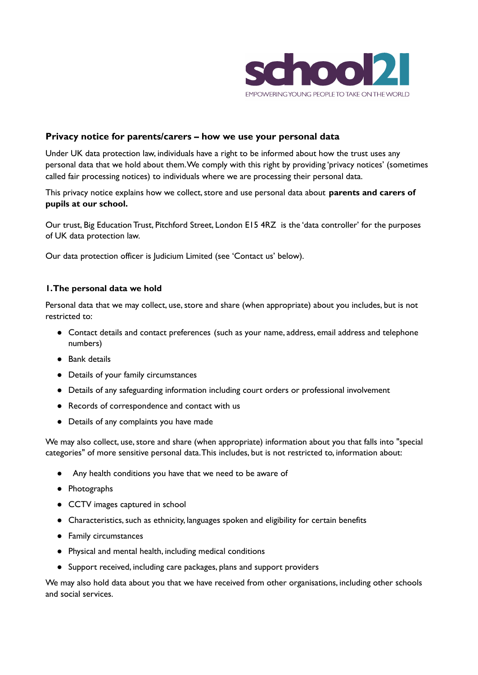

# **Privacy notice for parents/carers – how we use your personal data**

Under UK data protection law, individuals have a right to be informed about how the trust uses any personal data that we hold about them.We comply with this right by providing 'privacy notices' (sometimes called fair processing notices) to individuals where we are processing their personal data.

This privacy notice explains how we collect, store and use personal data about **parents and carers of pupils at our school.**

Our trust, Big Education Trust, Pitchford Street, London E15 4RZ is the 'data controller' for the purposes of UK data protection law.

Our data protection officer is Judicium Limited (see 'Contact us' below).

#### **1.The personal data we hold**

Personal data that we may collect, use, store and share (when appropriate) about you includes, but is not restricted to:

- Contact details and contact preferences (such as your name, address, email address and telephone numbers)
- Bank details
- Details of your family circumstances
- Details of any safeguarding information including court orders or professional involvement
- Records of correspondence and contact with us
- Details of any complaints you have made

We may also collect, use, store and share (when appropriate) information about you that falls into "special categories" of more sensitive personal data.This includes, but is not restricted to, information about:

- Any health conditions you have that we need to be aware of
- Photographs
- CCTV images captured in school
- Characteristics, such as ethnicity, languages spoken and eligibility for certain benefits
- Family circumstances
- Physical and mental health, including medical conditions
- Support received, including care packages, plans and support providers

We may also hold data about you that we have received from other organisations, including other schools and social services.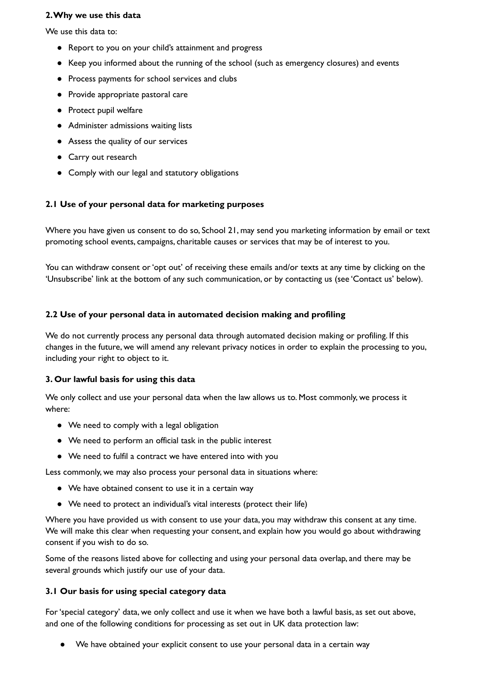#### **2.Why we use this data**

We use this data to:

- Report to you on your child's attainment and progress
- Keep you informed about the running of the school (such as emergency closures) and events
- Process payments for school services and clubs
- Provide appropriate pastoral care
- Protect pupil welfare
- Administer admissions waiting lists
- Assess the quality of our services
- Carry out research
- Comply with our legal and statutory obligations

## **2.1 Use of your personal data for marketing purposes**

Where you have given us consent to do so, School 21, may send you marketing information by email or text promoting school events, campaigns, charitable causes or services that may be of interest to you.

You can withdraw consent or 'opt out' of receiving these emails and/or texts at any time by clicking on the 'Unsubscribe' link at the bottom of any such communication, or by contacting us (see 'Contact us' below).

### **2.2 Use of your personal data in automated decision making and profiling**

We do not currently process any personal data through automated decision making or profiling. If this changes in the future, we will amend any relevant privacy notices in order to explain the processing to you, including your right to object to it.

### **3. Our lawful basis for using this data**

We only collect and use your personal data when the law allows us to. Most commonly, we process it where:

- We need to comply with a legal obligation
- We need to perform an official task in the public interest
- We need to fulfil a contract we have entered into with you

Less commonly, we may also process your personal data in situations where:

- We have obtained consent to use it in a certain way
- We need to protect an individual's vital interests (protect their life)

Where you have provided us with consent to use your data, you may withdraw this consent at any time. We will make this clear when requesting your consent, and explain how you would go about withdrawing consent if you wish to do so.

Some of the reasons listed above for collecting and using your personal data overlap, and there may be several grounds which justify our use of your data.

### **3.1 Our basis for using special category data**

For'special category' data, we only collect and use it when we have both a lawful basis, as set out above, and one of the following conditions for processing as set out in UK data protection law:

We have obtained your explicit consent to use your personal data in a certain way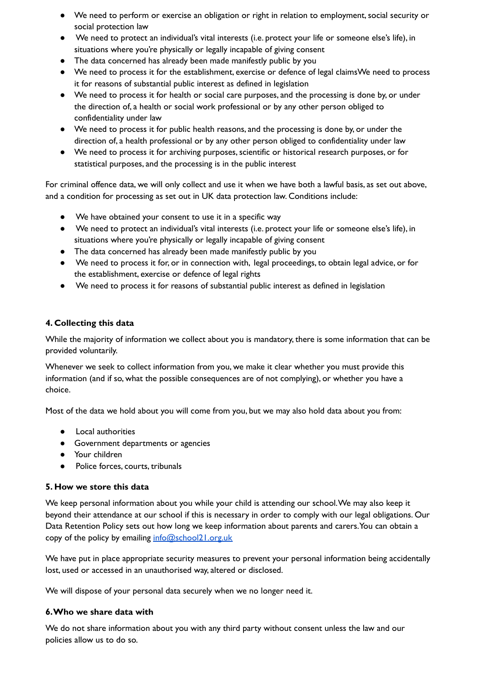- We need to perform or exercise an obligation or right in relation to employment, social security or social protection law
- We need to protect an individual's vital interests (i.e. protect your life or someone else's life), in situations where you're physically or legally incapable of giving consent
- The data concerned has already been made manifestly public by you
- We need to process it for the establishment, exercise or defence of legal claimsWe need to process it for reasons of substantial public interest as defined in legislation
- We need to process it for health or social care purposes, and the processing is done by, or under the direction of, a health or social work professional or by any other person obliged to confidentiality under law
- We need to process it for public health reasons, and the processing is done by, or under the direction of, a health professional or by any other person obliged to confidentiality under law
- We need to process it for archiving purposes, scientific or historical research purposes, or for statistical purposes, and the processing is in the public interest

For criminal offence data, we will only collect and use it when we have both a lawful basis, as set out above, and a condition for processing as set out in UK data protection law. Conditions include:

- We have obtained your consent to use it in a specific way
- We need to protect an individual's vital interests (i.e. protect your life or someone else's life), in situations where you're physically or legally incapable of giving consent
- The data concerned has already been made manifestly public by you
- We need to process it for, or in connection with, legal proceedings, to obtain legal advice, or for the establishment, exercise or defence of legal rights
- We need to process it for reasons of substantial public interest as defined in legislation

## **4. Collecting this data**

While the majority of information we collect about you is mandatory, there is some information that can be provided voluntarily.

Whenever we seek to collect information from you, we make it clear whether you must provide this information (and if so, what the possible consequences are of not complying), or whether you have a choice.

Most of the data we hold about you will come from you, but we may also hold data about you from:

- Local authorities
- Government departments or agencies
- Your children
- Police forces, courts, tribunals

### **5. How we store this data**

We keep personal information about you while your child is attending our school.We may also keep it beyond their attendance at our school if this is necessary in order to comply with our legal obligations. Our Data Retention Policy sets out how long we keep information about parents and carers.You can obtain a copy of the policy by emailing [info@school21.org.uk](mailto:info@school21.org.uk)

We have put in place appropriate security measures to prevent your personal information being accidentally lost, used or accessed in an unauthorised way, altered or disclosed.

We will dispose of your personal data securely when we no longer need it.

### **6.Who we share data with**

We do not share information about you with any third party without consent unless the law and our policies allow us to do so.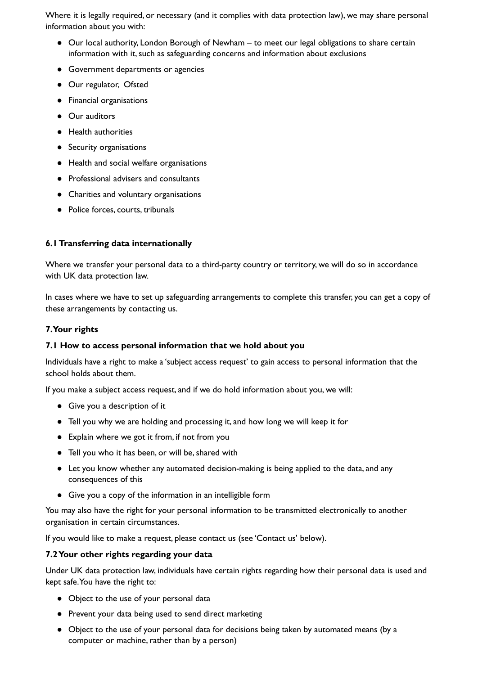Where it is legally required, or necessary (and it complies with data protection law), we may share personal information about you with:

- Our local authority, London Borough of Newham to meet our legal obligations to share certain information with it, such as safeguarding concerns and information about exclusions
- Government departments or agencies
- Our regulator, Ofsted
- Financial organisations
- Our auditors
- Health authorities
- Security organisations
- Health and social welfare organisations
- Professional advisers and consultants
- Charities and voluntary organisations
- Police forces, courts, tribunals

## **6.1Transferring data internationally**

Where we transfer your personal data to a third-party country or territory, we will do so in accordance with UK data protection law.

In cases where we have to set up safeguarding arrangements to complete this transfer, you can get a copy of these arrangements by contacting us.

### **7.Your rights**

### **7.1 How to access personal information that we hold about you**

Individuals have a right to make a 'subject access request' to gain access to personal information that the school holds about them.

If you make a subject access request, and if we do hold information about you, we will:

- Give you a description of it
- Tell you why we are holding and processing it, and how long we will keep it for
- Explain where we got it from, if not from you
- Tell you who it has been, or will be,shared with
- Let you know whether any automated decision-making is being applied to the data, and any consequences of this
- Give you a copy of the information in an intelligible form

You may also have the right for your personal information to be transmitted electronically to another organisation in certain circumstances.

If you would like to make a request, please contact us (see 'Contact us' below).

### **7.2Your other rights regarding your data**

Under UK data protection law, individuals have certain rights regarding how their personal data is used and kept safe.You have the right to:

- Object to the use of your personal data
- Prevent your data being used to send direct marketing
- Object to the use of your personal data for decisions being taken by automated means (by a computer or machine, rather than by a person)